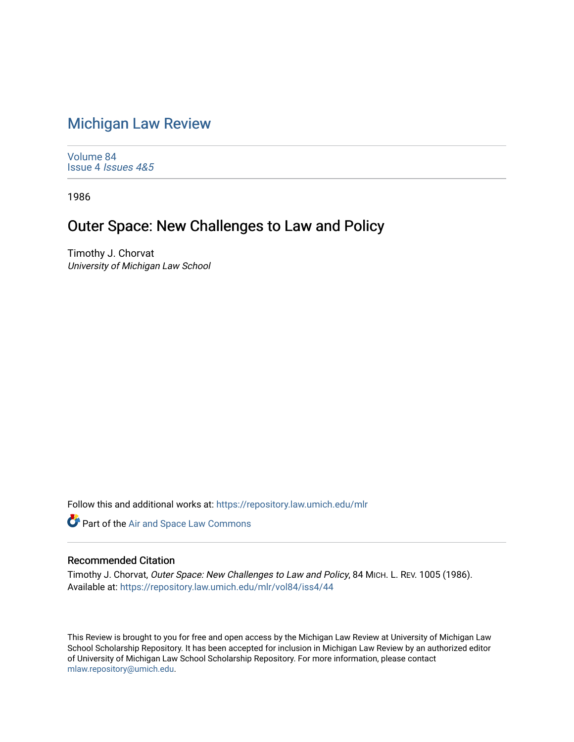## [Michigan Law Review](https://repository.law.umich.edu/mlr)

[Volume 84](https://repository.law.umich.edu/mlr/vol84) Issue 4 [Issues 4&5](https://repository.law.umich.edu/mlr/vol84/iss4) 

1986

## Outer Space: New Challenges to Law and Policy

Timothy J. Chorvat University of Michigan Law School

Follow this and additional works at: [https://repository.law.umich.edu/mlr](https://repository.law.umich.edu/mlr?utm_source=repository.law.umich.edu%2Fmlr%2Fvol84%2Fiss4%2F44&utm_medium=PDF&utm_campaign=PDFCoverPages) 

**Part of the [Air and Space Law Commons](http://network.bepress.com/hgg/discipline/830?utm_source=repository.law.umich.edu%2Fmlr%2Fvol84%2Fiss4%2F44&utm_medium=PDF&utm_campaign=PDFCoverPages)** 

## Recommended Citation

Timothy J. Chorvat, Outer Space: New Challenges to Law and Policy, 84 MICH. L. REV. 1005 (1986). Available at: [https://repository.law.umich.edu/mlr/vol84/iss4/44](https://repository.law.umich.edu/mlr/vol84/iss4/44?utm_source=repository.law.umich.edu%2Fmlr%2Fvol84%2Fiss4%2F44&utm_medium=PDF&utm_campaign=PDFCoverPages) 

This Review is brought to you for free and open access by the Michigan Law Review at University of Michigan Law School Scholarship Repository. It has been accepted for inclusion in Michigan Law Review by an authorized editor of University of Michigan Law School Scholarship Repository. For more information, please contact [mlaw.repository@umich.edu.](mailto:mlaw.repository@umich.edu)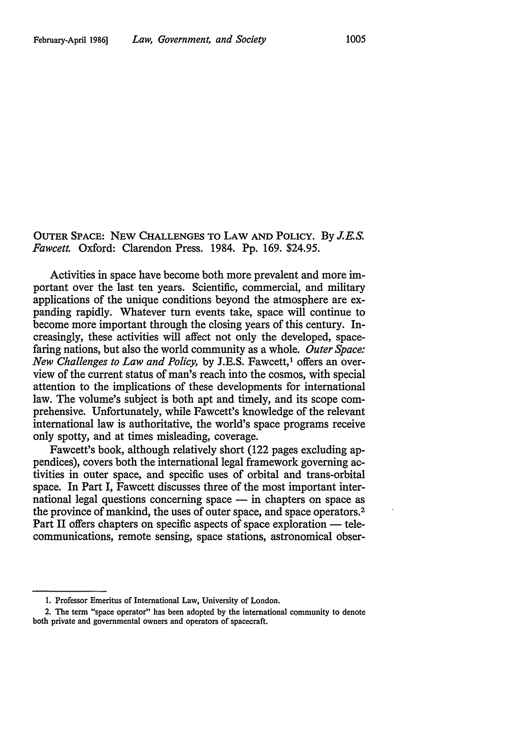OUTER SPACE: NEW CHALLENGES TO LAW AND POLICY. By *J.E.S. Fawcett.* Oxford: Clarendon Press. 1984. Pp. 169. \$24.95.

Activities in space have become both more prevalent and more important over the last ten years. Scientific, commercial, and military applications of the unique conditions beyond the atmosphere are expanding rapidly. Whatever turn events take, space will continue to become more important through the closing years of this century. Increasingly, these activities will affect not only the developed, spacefaring nations, but also the world community as a whole. *Outer Space: New Challenges to Law and Policy, by J.E.S. Fawcett,<sup>1</sup> offers an over*view of the current status of man's reach into the cosmos, with special attention to the implications of these developments for international law. The volume's subject is both apt and timely, and its scope comprehensive. Unfortunately, while Fawcett's knowledge of the relevant international law is authoritative, the world's space programs receive only spotty, and at times misleading, coverage.

Fawcett's book, although relatively short (122 pages excluding appendices), covers both the international legal framework governing activities in outer space, and specific uses of orbital and trans-orbital space. In Part I, Fawcett discusses three of the most important international legal questions concerning space  $-$  in chapters on space as the province of mankind, the uses of outer space, and space operators. 2 Part II offers chapters on specific aspects of space exploration — telecommunications, remote sensing, space stations, astronomical obser-

<sup>1.</sup> Professor Emeritus of International Law, University of London.

<sup>2.</sup> The term "space operator" has been adopted by the international community to denote both private and governmental owners and operators of spacecraft.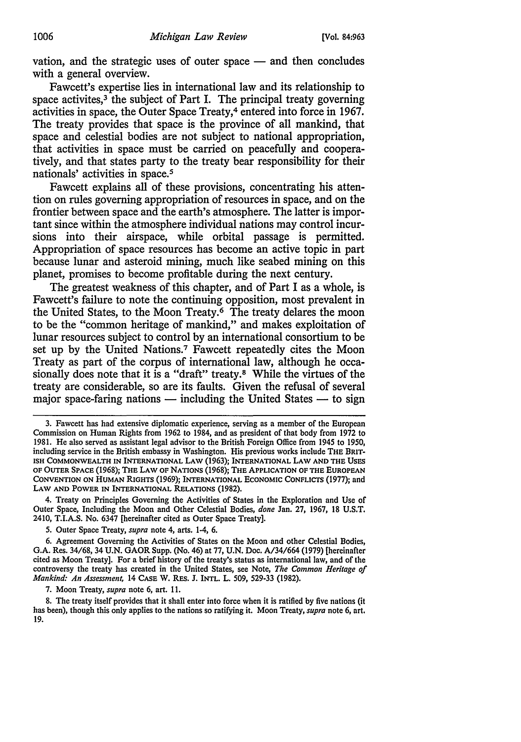vation, and the strategic uses of outer space  $-$  and then concludes with a general overview.

Fawcett's expertise lies in international law and its relationship to space activites, $3 \text{ }$  the subject of Part I. The principal treaty governing activities in space, the Outer Space Treaty,4 entered into force in 1967. The treaty provides that space is the province of all mankind, that space and celestial bodies are not subject to national appropriation, that activities in space must be carried on peacefully and cooperatively, and that states party to the treaty bear responsibility for their nationals' activities in space. *<sup>5</sup>*

Fawcett explains all of these provisions, concentrating his attention on rules governing appropriation of resources in space, and on the frontier between space and the earth's atmosphere. The latter is important since within the atmosphere individual nations may control incursions into their airspace, while orbital passage is permitted. Appropriation of space resources has become an active topic in part because lunar and asteroid mining, much like seabed mining on this planet, promises to become profitable during the next century.

The greatest weakness of this chapter, and of Part I as a whole, is Fawcett's failure to note the continuing opposition, most prevalent in the United States, to the Moon Treaty.<sup>6</sup> The treaty delares the moon to be the "common heritage of mankind," and makes exploitation of lunar resources subject to control by an international consortium to be set up by the United Nations.7 Fawcett repeatedly cites the Moon Treaty as part of the corpus of international law, although he occasionally does note that it is a "draft" treaty.<sup>8</sup> While the virtues of the treaty are considerable, so are its faults. Given the refusal of several major space-faring nations  $-$  including the United States  $-$  to sign

4. Treaty on Principles Governing the Activities of States in the Exploration and Use of Outer Space, Including the Moon and Other Celestial Bodies, *done* Jan. 27, 1967, 18 U.S.T. 2410, T.l.A.S. No. 6347 [hereinafter cited as Outer Space Treaty].

7. Moon Treaty, *supra* note 6, art. 11.

8. The treaty itself provides that it shall enter into force when it is ratified by five nations (it has been), though this only applies to the nations so ratifying it. Moon Treaty, *supra* note 6, art. 19.

<sup>3.</sup> Fawcett has had extensive diplomatic experience, serving as a member of the European Commission on Human Rights from 1962 to 1984, and as president of that body from 1972 to 1981. He also served as assistant legal advisor to the British Foreign Office from 1945 to 1950, including service in the British embassy in Washington. His previous works include THE BRIT· ISH COMMONWEALTH IN INTERNATIONAL LAW (1963); INTERNATIONAL LAW AND THE USES OF OUTER SPACE (1968); THE LAW OF NATIONS (1968); THE APPLICATION OF THE EUROPEAN CONVENTION ON HUMAN RIGHTS (1969); INTERNATIONAL ECONOMIC CONFLICTS (1977); and LAW AND POWER IN INTERNATIONAL RELATIONS (1982).

<sup>5.</sup> Outer Space Treaty, *supra* note 4, arts. 1-4, 6.

<sup>6.</sup> Agreement Governing the Activities of States on the Moon and other Celestial Bodies, G.A. Res. 34/68, 34 U.N. GAOR Supp. (No. 46) at 77, U.N. Doc. A/34/664 (1979) [hereinafter cited as Moon Treaty]. For a brief history of the treaty's status as international law, and of the controversy the treaty has created in the United States, see Note, *The Common Heritage of Mankind: An Assessment,* 14 CASE W. RES. J. INTL. L. 509, 529-33 (1982).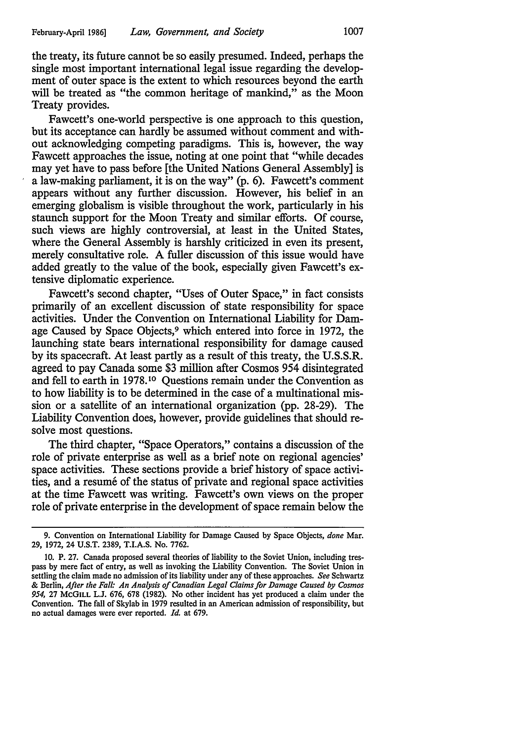the treaty, its future cannot be so easily presumed. Indeed, perhaps the single most important international legal issue regarding the development of outer space is the extent to which resources beyond the earth will be treated as "the common heritage of mankind," as the Moon Treaty provides.

Fawcett's one-world perspective is one approach to this question, but its acceptance can hardly be assumed without comment and without acknowledging competing paradigms. This is, however, the way Fawcett approaches the issue, noting at one point that "while decades may yet have to pass before [the United Nations General Assembly] is a law-making parliament, it is on the way" (p. 6). Fawcett's comment appears without any further discussion. However, his belief in an emerging globalism is visible throughout the work, particularly in his staunch support for the Moon Treaty and similar efforts. Of course, such views are highly controversial, at least in the United States, where the General Assembly is harshly criticized in even its present, merely consultative role. A fuller discussion of this issue would have added greatly to the value of the book, especially given Fawcett's extensive diplomatic experience.

Fawcett's second chapter, "Uses of Outer Space," in fact consists primarily of an excellent discussion of state responsibility for space activities. Under the Convention on International Liability for Damage Caused by Space Objects,<sup>9</sup> which entered into force in 1972, the launching state bears international responsibility for damage caused by its spacecraft. At least partly as a result of this treaty, the U.S.S.R. agreed to pay Canada some \$3 million after Cosmos 954 disintegrated and fell to earth in 1978.10 Questions remain under the Convention as to how liability is to be determined in the case of a multinational mission or a satellite of an international organization (pp. 28-29). The Liability Convention does, however, provide guidelines that should resolve most questions.

The third chapter, "Space Operators,'' contains a discussion of the role of private enterprise as well as a brief note on regional agencies' space activities. These sections provide a brief history of space activities, and a resume of the status of private and regional space activities at the time Fawcett was writing. Fawcett's own views on the proper role of private enterprise in the development of space remain below the

<sup>9.</sup> Convention on International Liability for Damage Caused by Space Objects, *done* Mar. 29, 1972, 24 U.S.T. 2389, T.l.A.S. No. 7762.

<sup>10.</sup> P. 27. Canada proposed several theories of liability to the Soviet Union, including trespass by mere fact of entry, as well as invoking the Liability Convention. The Soviet Union in settling the claim made no admission of its liability under any of these approaches. *See* Schwartz & Berlin, *After the Fall: An Analysis of Canadian Legal Claims for Damage Caused by Cosmos*  954, 27 McGILL L.J. 676, 678 (1982). No other incident has yet produced a claim under the Convention. The fall of Skylab in 1979 resulted in an American admission of responsibility, but no actual damages were ever reported. *Id.* at 679.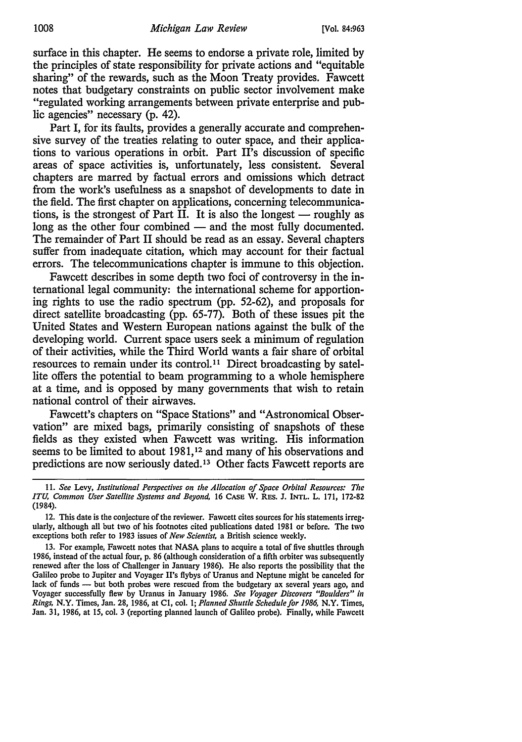surface in this chapter. He seems to endorse a private role, limited by the principles of state responsibility for private actions and "equitable sharing" of the rewards, such as the Moon Treaty provides. Fawcett notes that budgetary constraints on public sector involvement make "regulated working arrangements between private enterprise and public agencies" necessary (p. 42).

Part I, for its faults, provides a generally accurate and comprehensive survey of the treaties relating to outer space, and their applications to various operations in orbit. Part H's discussion of specific areas of space activities is, unfortunately, less consistent. Several chapters are marred by factual errors and omissions which detract from the work's usefulness as a snapshot of developments to date in the field. The first chapter on applications, concerning telecommunications, is the strongest of Part II. It is also the longest  $-$  roughly as long as the other four combined — and the most fully documented. The remainder of Part II should be read as an essay. Several chapters suffer from inadequate citation, which may account for their factual errors. The telecommunications chapter is immune to this objection.

Fawcett describes in some depth two foci of controversy in the international legal community: the international scheme for apportioning rights to use the radio spectrum (pp. 52-62), and proposals for direct satellite broadcasting (pp. 65-77). Both of these issues pit the United States and Western European nations against the bulk of the developing world. Current space users seek a minimum of regulation of their activities, while the Third World wants a fair share of orbital resources to remain under its control. 11 Direct broadcasting by satellite offers the potential to beam programming to a whole hemisphere at a time, and is opposed by many governments that wish to retain national control of their airwaves.

Fawcett's chapters on "Space Stations" and "Astronomical Observation" are mixed bags, primarily consisting of snapshots of these fields as they existed when Fawcett was writing. His information seems to be limited to about 1981,<sup>12</sup> and many of his observations and predictions are now seriously dated. 13 Other facts Fawcett reports are

<sup>11.</sup> *See* Levy, *Institutional Perspectives on the Allocation of Space Orbital Resources: The ITU, Common User Satellite Systems and Beyond,* 16 CASE W. RES. J. INTL. L. 171, 172-82 (1984).

<sup>12.</sup> This date is the conjecture of the reviewer. Fawcett cites sources for his statements irregularly, although all but two of his footnotes cited publications dated 1981 or before. The two exceptions both refer to 1983 issues of *New Scientist,* a British science weekly.

<sup>13.</sup> For example, Fawcett notes that NASA plans to acquire a total of five shuttles through 1986, instead of the actual four, p. 86 (although consideration of a fifth orbiter was subsequently renewed after the loss of Challenger in January 1986). He also reports the possibility that the Galileo probe to Jupiter and Voyager H's flybys of Uranus and Neptune might be canceled for lack of funds - but both probes were rescued from the budgetary ax several years ago, and Voyager successfully flew by Uranus in January 1986. *See Voyager Discovers "Boulders" i11 Rings,* N.Y. Times, Jan. 28, 1986, at Cl, cot. 1; *Planned Shuttle Schedule for 1986,* N.Y. Times, Jan. 31, 1986, at 15, col. 3 (reporting planned launch of Galileo probe). Finally, while Fawcett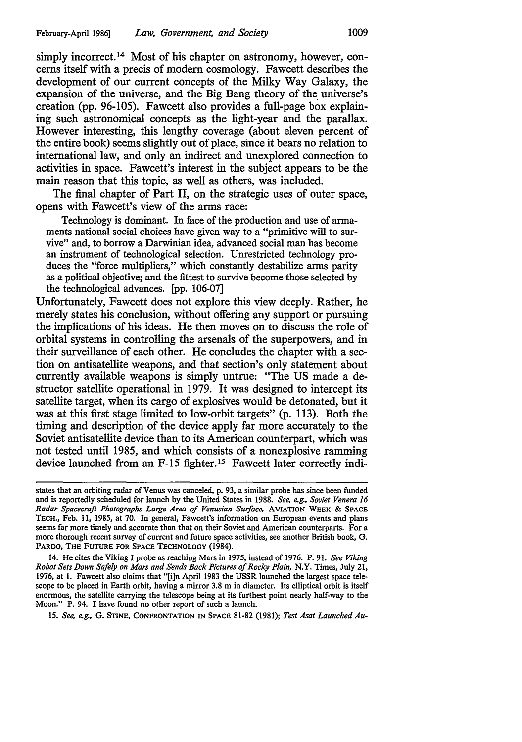simply incorrect.<sup>14</sup> Most of his chapter on astronomy, however, concerns itself with a precis of modem cosmology. Fawcett describes the development of our current concepts of the Milky Way Galaxy, the expansion of the universe, and the Big Bang theory of the universe's creation (pp. 96-105). Fawcett also provides a full-page box explaining such astronomical concepts as the light-year and the parallax. However interesting, this lengthy coverage (about eleven percent of the entire book) seems slightly out of place, since it bears no relation to international law, and only an indirect and unexplored connection to activities in space. Fawcett's interest in the subject appears to be the main reason that this topic, as well as others, was included.

The final chapter of Part II, on the strategic uses of outer space, opens with Fawcett's view of the arms race:

Technology is dominant. In face of the production and use of armaments national social choices have given way to a "primitive will to survive" and, to borrow a Darwinian idea, advanced social man has become an instrument of technological selection. Unrestricted technology produces the "force multipliers," which constantly destabilize arms parity as a political objective; and the fittest to survive become those selected by the technological advances. [pp. 106-07]

Unfortunately, Fawcett does not explore this view deeply. Rather, he merely states his conclusion, without offering any support or pursuing the implications of his ideas. He then moves on to discuss the role of orbital systems in controlling the arsenals of the superpowers, and in their surveillance of each other. He concludes the chapter with a section on antisatellite weapons, and that section's only statement about currently available weapons is simply untrue: "The US made a destructor satellite operational in 1979. It was designed to intercept its satellite target, when its cargo of explosives would be detonated, but it was at this first stage limited to low-orbit targets" (p. 113). Both the timing and description of the device apply far more accurately to the Soviet antisatellite device than to its American counterpart, which was not tested until 1985, and which consists of a nonexplosive ramming device launched from an F-15 fighter.<sup>15</sup> Fawcett later correctly indi-

14. He cites the Viking I probe as reaching Mars in 1975, instead of 1976. P. 91. *See Viking Robot Sets Down Safely on Mars and Sends Back Pictures of Rocky Plain,* N.Y. Times, July 21, 1976, at 1. Fawcett also claims that "[i]n April 1983 the USSR launched the largest space telescope to be placed in Earth orbit, having a mirror 3.8 m in diameter. Its elliptical orbit is itself enormous, the satellite carrying the telescope being at its furthest point nearly half-way to the Moon." P. 94. I have found no other report of such a launch.

15. *See, e.g.,* G. STINE, CONFRONTATION IN SPACE 81-82 (1981); *Test Asat Launched Au-*

states that an orbiting radar of Venus was canceled, p. 93, a similar probe has since been funded and is reportedly scheduled for launch by the United States in 1988. *See, e.g., Soviet Venera 16 Radar Spacecraft Photographs Large Area of Venusian Surface,* AVIATION WEEK & SPACE TECH., Feb. 11, 1985, at 70. In general, Fawcett's information on European events and plans seems far more timely and accurate than that on their Soviet and American counterparts. For a more thorough recent survey of current and future space activities, see another British book, G. PARDO, THE FUTURE FOR SPACE TECHNOLOGY (1984).